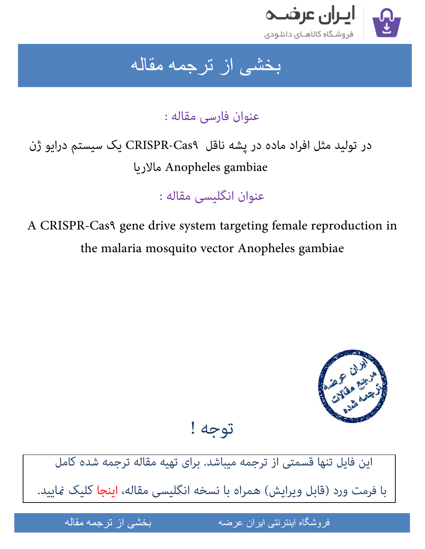

ِ بخشی از ترجمه مقاله

عنوان فارسی مقاله :

در تولید مثل افراد ماده در پشه ناقل CRISPR-Cas۹ یک سیستم درایو ژن مالاریا Anopheles gambiae

عنوان انگلیسی مقاله :

A CRISPR-Cas٩ gene drive system targeting female reproduction in the malaria mosquito vector Anopheles gambiae



توجه !

[این فایل تنها قسمتی از ترجمه میباشد. برای تهیه مقاله ترجمه شده کامل](http://iranarze.ir/crispr+gene+drive+targeting+female+reproduction+malaria+mosquito+vector)  با فرمت ورد (قابل ویرایش) همراه با نسخه انگلیسی مقاله، <mark>اینجا</mark> کلیک <sub>ن</sub>مایید.

مقاله من المستخدم المستخدم

فروشگاه اینترنتی ایران عرضه مسلمانی از ترجمه مقاله